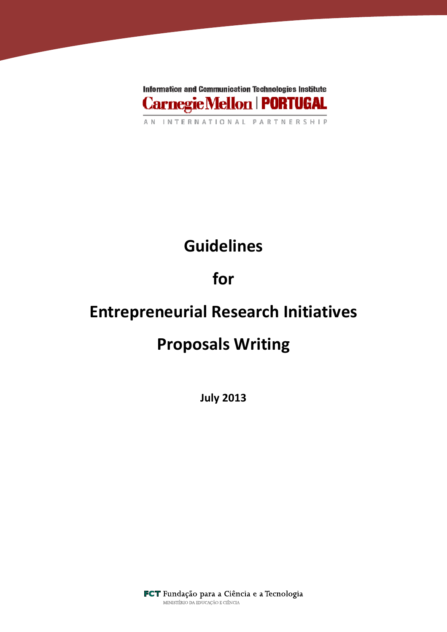

# Guidelines

## for

## Entrepreneurial Research Initiatives

## Proposals Writing

July 2013

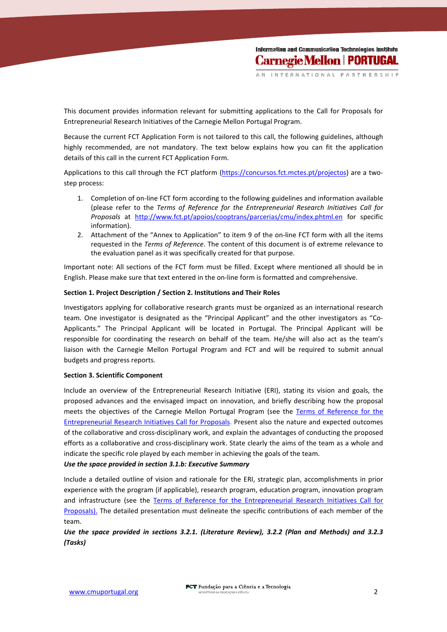INTERNAT

This document provides information relevant for submitting applications to the Call for Proposals for Entrepreneurial Research Initiatives of the Carnegie Mellon Portugal Program.

Because the current FCT Application Form is not tailored to this call, the following guidelines, although highly recommended, are not mandatory. The text below explains how you can fit the application details of this call in the current FCT Application Form.

Applications to this call through the FCT platform (https://concursos.fct.mctes.pt/projectos) are a twostep process:

- 1. Completion of on-line FCT form according to the following guidelines and information available (please refer to the Terms of Reference for the Entrepreneurial Research Initiatives Call for Proposals at http://www.fct.pt/apoios/cooptrans/parcerias/cmu/index.phtml.en for specific information).
- 2. Attachment of the "Annex to Application" to item 9 of the on-line FCT form with all the items requested in the Terms of Reference. The content of this document is of extreme relevance to the evaluation panel as it was specifically created for that purpose.

Important note: All sections of the FCT form must be filled. Except where mentioned all should be in English. Please make sure that text entered in the on-line form is formatted and comprehensive.

### Section 1. Project Description / Section 2. Institutions and Their Roles

Investigators applying for collaborative research grants must be organized as an international research team. One investigator is designated as the "Principal Applicant" and the other investigators as "Co-Applicants." The Principal Applicant will be located in Portugal. The Principal Applicant will be responsible for coordinating the research on behalf of the team. He/she will also act as the team's liaison with the Carnegie Mellon Portugal Program and FCT and will be required to submit annual budgets and progress reports.

#### Section 3. Scientific Component

Include an overview of the Entrepreneurial Research Initiative (ERI), stating its vision and goals, the proposed advances and the envisaged impact on innovation, and briefly describing how the proposal meets the objectives of the Carnegie Mellon Portugal Program (see the Terms of Reference for the Entrepreneurial Research Initiatives Call for Proposals. Present also the nature and expected outcomes of the collaborative and cross-disciplinary work, and explain the advantages of conducting the proposed efforts as a collaborative and cross-disciplinary work. State clearly the aims of the team as a whole and indicate the specific role played by each member in achieving the goals of the team.

### Use the space provided in section 3.1.b: Executive Summary

Include a detailed outline of vision and rationale for the ERI, strategic plan, accomplishments in prior experience with the program (if applicable), research program, education program, innovation program and infrastructure (see the Terms of Reference for the Entrepreneurial Research Initiatives Call for Proposals). The detailed presentation must delineate the specific contributions of each member of the team.

### Use the space provided in sections 3.2.1. (Literature Review), 3.2.2 (Plan and Methods) and 3.2.3 (Tasks)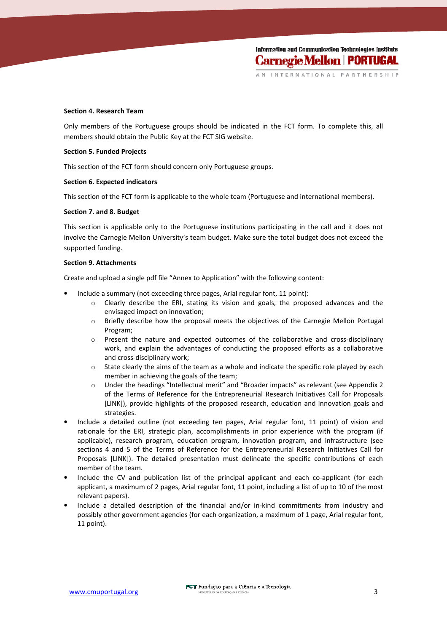**Information and Communication Technologies Institute Carnegie Mellon | PORTUGAL** 

INTERNA'

#### Section 4. Research Team

Only members of the Portuguese groups should be indicated in the FCT form. To complete this, all members should obtain the Public Key at the FCT SIG website.

#### Section 5. Funded Projects

This section of the FCT form should concern only Portuguese groups.

#### Section 6. Expected indicators

This section of the FCT form is applicable to the whole team (Portuguese and international members).

#### Section 7. and 8. Budget

This section is applicable only to the Portuguese institutions participating in the call and it does not involve the Carnegie Mellon University's team budget. Make sure the total budget does not exceed the supported funding.

#### Section 9. Attachments

Create and upload a single pdf file "Annex to Application" with the following content:

- Include a summary (not exceeding three pages, Arial regular font, 11 point):
	- o Clearly describe the ERI, stating its vision and goals, the proposed advances and the envisaged impact on innovation;
	- o Briefly describe how the proposal meets the objectives of the Carnegie Mellon Portugal Program;
	- o Present the nature and expected outcomes of the collaborative and cross-disciplinary work, and explain the advantages of conducting the proposed efforts as a collaborative and cross-disciplinary work;
	- $\circ$  State clearly the aims of the team as a whole and indicate the specific role played by each member in achieving the goals of the team;
	- o Under the headings "Intellectual merit" and "Broader impacts" as relevant (see Appendix 2 of the Terms of Reference for the Entrepreneurial Research Initiatives Call for Proposals [LINK]), provide highlights of the proposed research, education and innovation goals and strategies.
- Include a detailed outline (not exceeding ten pages, Arial regular font, 11 point) of vision and rationale for the ERI, strategic plan, accomplishments in prior experience with the program (if applicable), research program, education program, innovation program, and infrastructure (see sections 4 and 5 of the Terms of Reference for the Entrepreneurial Research Initiatives Call for Proposals [LINK]). The detailed presentation must delineate the specific contributions of each member of the team.
- Include the CV and publication list of the principal applicant and each co-applicant (for each applicant, a maximum of 2 pages, Arial regular font, 11 point, including a list of up to 10 of the most relevant papers).
- Include a detailed description of the financial and/or in-kind commitments from industry and possibly other government agencies (for each organization, a maximum of 1 page, Arial regular font, 11 point).